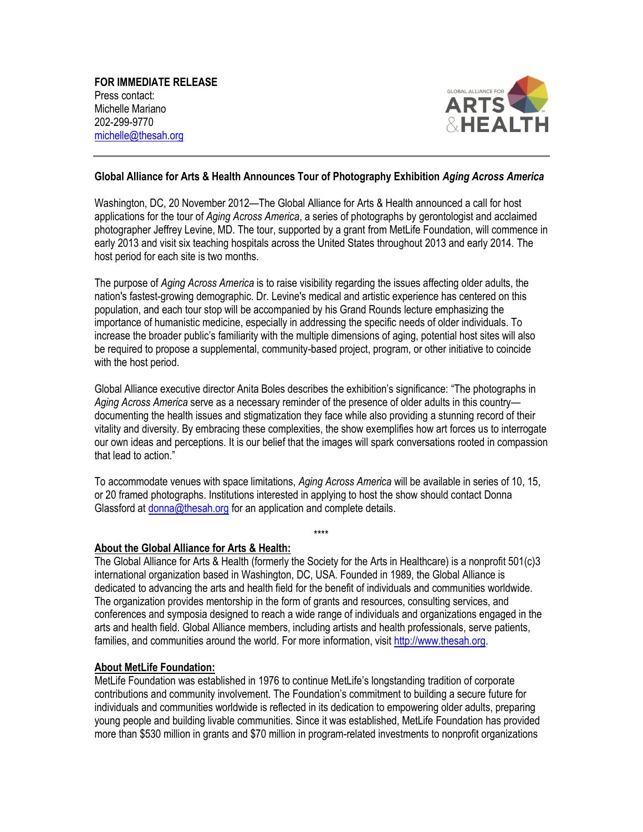

## **Global Alliance for Arts & Health Announces Tour of Photography Exhibition** *Aging Across America*

Washington, DC, 20 November 2012—The Global Alliance for Arts & Health announced a call for host applications for the tour of *Aging Across America*, a series of photographs by gerontologist and acclaimed photographer Jeffrey Levine, MD. The tour, supported by a grant from MetLife Foundation, will commence in early 2013 and visit six teaching hospitals across the United States throughout 2013 and early 2014. The host period for each site is two months.

The purpose of *Aging Across America* is to raise visibility regarding the issues affecting older adults, the nation's fastest-growing demographic. Dr. Levine's medical and artistic experience has centered on this population, and each tour stop will be accompanied by his Grand Rounds lecture emphasizing the importance of humanistic medicine, especially in addressing the specific needs of older individuals. To increase the broader public's familiarity with the multiple dimensions of aging, potential host sites will also be required to propose a supplemental, community-based project, program, or other initiative to coincide with the host period.

Global Alliance executive director Anita Boles describes the exhibition's significance: "The photographs in *Aging Across America* serve as a necessary reminder of the presence of older adults in this country documenting the health issues and stigmatization they face while also providing a stunning record of their vitality and diversity. By embracing these complexities, the show exemplifies how art forces us to interrogate our own ideas and perceptions. It is our belief that the images will spark conversations rooted in compassion that lead to action."

To accommodate venues with space limitations, *Aging Across America* will be available in series of 10, 15, or 20 framed photographs. Institutions interested in applying to host the show should contact Donna Glassford at [donna@thesah.org](mailto:donna@thesah.org) for an application and complete details.

\*\*\*\*

## **About the Global Alliance for Arts & Health:**

The Global Alliance for Arts & Health (formerly the Society for the Arts in Healthcare) is a nonprofit 501(c)3 international organization based in Washington, DC, USA. Founded in 1989, the Global Alliance is dedicated to advancing the arts and health field for the benefit of individuals and communities worldwide. The organization provides mentorship in the form of grants and resources, consulting services, and conferences and symposia designed to reach a wide range of individuals and organizations engaged in the arts and health field. Global Alliance members, including artists and health professionals, serve patients, families, and communities around the world. For more information, visit http://www.thesah.org.

## **About MetLife Foundation:**

MetLife Foundation was established in 1976 to continue MetLife's longstanding tradition of corporate contributions and community involvement. The Foundation's commitment to building a secure future for individuals and communities worldwide is reflected in its dedication to empowering older adults, preparing young people and building livable communities. Since it was established, MetLife Foundation has provided more than \$530 million in grants and \$70 million in program-related investments to nonprofit organizations